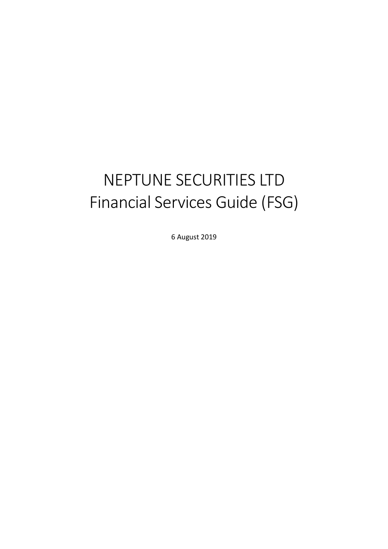# NEPTUNE SECURITIES LTD Financial Services Guide (FSG)

6 August 2019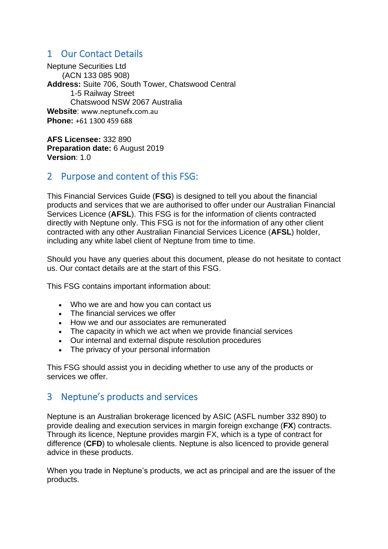## 1 Our Contact Details

Neptune Securities Ltd (ACN 133 085 908) **Address:** Suite 706, South Tower, Chatswood Central 1-5 Railway Street Chatswood NSW 2067 Australia **Website**: www.neptunefx.com.au **Phone:** +61 1300 459 688

**AFS Licensee:** 332 890 **Preparation date:** 6 August 2019 **Version**: 1.0

## 2 Purpose and content of this FSG:

This Financial Services Guide (**FSG**) is designed to tell you about the financial products and services that we are authorised to offer under our Australian Financial Services Licence (**AFSL**). This FSG is for the information of clients contracted directly with Neptune only. This FSG is not for the information of any other client contracted with any other Australian Financial Services Licence (**AFSL**) holder, including any white label client of Neptune from time to time.

Should you have any queries about this document, please do not hesitate to contact us. Our contact details are at the start of this FSG.

This FSG contains important information about:

- Who we are and how you can contact us
- The financial services we offer
- How we and our associates are remunerated
- The capacity in which we act when we provide financial services
- Our internal and external dispute resolution procedures
- The privacy of your personal information

This FSG should assist you in deciding whether to use any of the products or services we offer.

## 3 Neptune's products and services

Neptune is an Australian brokerage licenced by ASIC (ASFL number 332 890) to provide dealing and execution services in margin foreign exchange (**FX**) contracts. Through its licence, Neptune provides margin FX, which is a type of contract for difference (**CFD**) to wholesale clients. Neptune is also licenced to provide general advice in these products.

When you trade in Neptune's products, we act as principal and are the issuer of the products.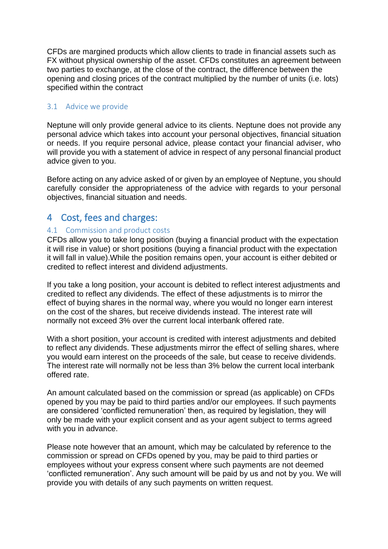CFDs are margined products which allow clients to trade in financial assets such as FX without physical ownership of the asset. CFDs constitutes an agreement between two parties to exchange, at the close of the contract, the difference between the opening and closing prices of the contract multiplied by the number of units (i.e. lots) specified within the contract

#### 3.1 Advice we provide

Neptune will only provide general advice to its clients. Neptune does not provide any personal advice which takes into account your personal objectives, financial situation or needs. If you require personal advice, please contact your financial adviser, who will provide you with a statement of advice in respect of any personal financial product advice given to you.

Before acting on any advice asked of or given by an employee of Neptune, you should carefully consider the appropriateness of the advice with regards to your personal objectives, financial situation and needs.

# 4 Cost, fees and charges:

#### 4.1 Commission and product costs

CFDs allow you to take long position (buying a financial product with the expectation it will rise in value) or short positions (buying a financial product with the expectation it will fall in value).While the position remains open, your account is either debited or credited to reflect interest and dividend adjustments.

If you take a long position, your account is debited to reflect interest adjustments and credited to reflect any dividends. The effect of these adjustments is to mirror the effect of buying shares in the normal way, where you would no longer earn interest on the cost of the shares, but receive dividends instead. The interest rate will normally not exceed 3% over the current local interbank offered rate.

With a short position, your account is credited with interest adjustments and debited to reflect any dividends. These adjustments mirror the effect of selling shares, where you would earn interest on the proceeds of the sale, but cease to receive dividends. The interest rate will normally not be less than 3% below the current local interbank offered rate.

An amount calculated based on the commission or spread (as applicable) on CFDs opened by you may be paid to third parties and/or our employees. If such payments are considered 'conflicted remuneration' then, as required by legislation, they will only be made with your explicit consent and as your agent subject to terms agreed with you in advance.

Please note however that an amount, which may be calculated by reference to the commission or spread on CFDs opened by you, may be paid to third parties or employees without your express consent where such payments are not deemed 'conflicted remuneration'. Any such amount will be paid by us and not by you. We will provide you with details of any such payments on written request.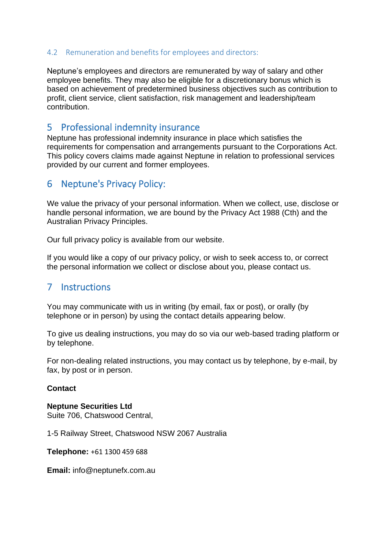#### 4.2 Remuneration and benefits for employees and directors:

Neptune's employees and directors are remunerated by way of salary and other employee benefits. They may also be eligible for a discretionary bonus which is based on achievement of predetermined business objectives such as contribution to profit, client service, client satisfaction, risk management and leadership/team contribution.

### 5 Professional indemnity insurance

Neptune has professional indemnity insurance in place which satisfies the requirements for compensation and arrangements pursuant to the Corporations Act. This policy covers claims made against Neptune in relation to professional services provided by our current and former employees.

## 6 Neptune's Privacy Policy:

We value the privacy of your personal information. When we collect, use, disclose or handle personal information, we are bound by the Privacy Act 1988 (Cth) and the Australian Privacy Principles.

Our full privacy policy is available from our website.

If you would like a copy of our privacy policy, or wish to seek access to, or correct the personal information we collect or disclose about you, please contact us.

## 7 Instructions

You may communicate with us in writing (by email, fax or post), or orally (by telephone or in person) by using the contact details appearing below.

To give us dealing instructions, you may do so via our web-based trading platform or by telephone.

For non-dealing related instructions, you may contact us by telephone, by e-mail, by fax, by post or in person.

#### **Contact**

**Neptune Securities Ltd** Suite 706, Chatswood Central,

1-5 Railway Street, Chatswood NSW 2067 Australia

**Telephone:** +61 1300 459 688

**Email:** info@neptunefx.com.au